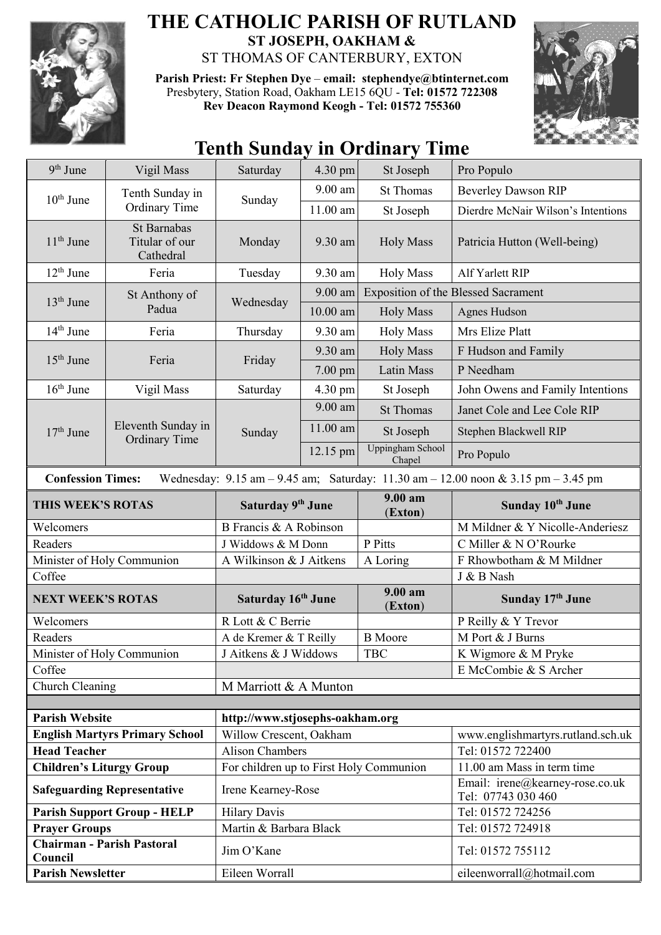

## **THE CATHOLIC PARISH OF RUTLAND ST JOSEPH, OAKHAM &**  ST THOMAS OF CANTERBURY, EXTON

**Parish Priest: Fr Stephen Dye** – **[email: stephendye@btinternet.com](mailto:email:%20%20stephendye@btinternet.com)** Presbytery, Station Road, Oakham LE15 6QU - **Tel: 01572 722308 Rev Deacon Raymond Keogh - Tel: 01572 755360**



## **Tenth Sunday in Ordinary Time**

| 9 <sup>th</sup> June                                                                                                                                                | Vigil Mass                                 | Saturday                                | $4.30 \text{ pm}$ | St Joseph                         | Pro Populo                                            |  |
|---------------------------------------------------------------------------------------------------------------------------------------------------------------------|--------------------------------------------|-----------------------------------------|-------------------|-----------------------------------|-------------------------------------------------------|--|
| $10th$ June                                                                                                                                                         | Tenth Sunday in<br><b>Ordinary Time</b>    | Sunday                                  | 9.00 am           | <b>St Thomas</b>                  | <b>Beverley Dawson RIP</b>                            |  |
|                                                                                                                                                                     |                                            |                                         | 11.00 am          | St Joseph                         | Dierdre McNair Wilson's Intentions                    |  |
| $11th$ June                                                                                                                                                         | St Barnabas<br>Titular of our<br>Cathedral | Monday                                  | 9.30 am           | <b>Holy Mass</b>                  | Patricia Hutton (Well-being)                          |  |
| $12th$ June                                                                                                                                                         | Feria                                      | Tuesday                                 | 9.30 am           | <b>Holy Mass</b>                  | Alf Yarlett RIP                                       |  |
| $13th$ June                                                                                                                                                         | St Anthony of<br>Padua                     | Wednesday                               | 9.00 am           |                                   | <b>Exposition of the Blessed Sacrament</b>            |  |
|                                                                                                                                                                     |                                            |                                         | $10.00$ am        | <b>Holy Mass</b>                  | Agnes Hudson                                          |  |
| $14th$ June                                                                                                                                                         | Feria                                      | Thursday                                | 9.30 am           | <b>Holy Mass</b>                  | Mrs Elize Platt                                       |  |
| $15th$ June                                                                                                                                                         | Feria                                      | Friday                                  | 9.30 am           | <b>Holy Mass</b>                  | F Hudson and Family                                   |  |
|                                                                                                                                                                     |                                            |                                         | $7.00$ pm         | Latin Mass                        | P Needham                                             |  |
| $16th$ June                                                                                                                                                         | Vigil Mass                                 | Saturday                                | 4.30 pm           | St Joseph                         | John Owens and Family Intentions                      |  |
| $17th$ June                                                                                                                                                         | Eleventh Sunday in<br><b>Ordinary Time</b> | Sunday                                  | 9.00 am           | <b>St Thomas</b>                  | Janet Cole and Lee Cole RIP                           |  |
|                                                                                                                                                                     |                                            |                                         | 11.00 am          | St Joseph                         | Stephen Blackwell RIP                                 |  |
|                                                                                                                                                                     |                                            |                                         | 12.15 pm          | <b>Uppingham School</b><br>Chapel | Pro Populo                                            |  |
| <b>Confession Times:</b><br>Wednesday: $9.15 \text{ am} - 9.45 \text{ am}$ ; Saturday: $11.30 \text{ am} - 12.00 \text{ noon} \& 3.15 \text{ pm} - 3.45 \text{ pm}$ |                                            |                                         |                   |                                   |                                                       |  |
| THIS WEEK'S ROTAS                                                                                                                                                   |                                            | Saturday 9th June                       |                   | $9.00 a$ m<br>(Exton)             | Sunday 10th June                                      |  |
| Welcomers                                                                                                                                                           |                                            | B Francis & A Robinson                  |                   |                                   |                                                       |  |
|                                                                                                                                                                     |                                            |                                         |                   |                                   | M Mildner & Y Nicolle-Anderiesz                       |  |
| Readers                                                                                                                                                             |                                            | J Widdows & M Donn                      |                   | P Pitts                           | C Miller & N O'Rourke                                 |  |
|                                                                                                                                                                     | Minister of Holy Communion                 | A Wilkinson & J Aitkens                 |                   | A Loring                          | F Rhowbotham & M Mildner                              |  |
| Coffee                                                                                                                                                              |                                            |                                         |                   |                                   | J & B Nash                                            |  |
| <b>NEXT WEEK'S ROTAS</b>                                                                                                                                            |                                            | Saturday 16th June                      |                   | $9.00 a$ m<br>(Exton)             | Sunday 17th June                                      |  |
| Welcomers                                                                                                                                                           |                                            | R Lott & C Berrie                       |                   |                                   | P Reilly & Y Trevor                                   |  |
| Readers                                                                                                                                                             |                                            | A de Kremer & T Reilly                  |                   | <b>B</b> Moore                    | M Port & J Burns                                      |  |
|                                                                                                                                                                     | Minister of Holy Communion                 | J Aitkens & J Widdows                   |                   | <b>TBC</b>                        | K Wigmore & M Pryke                                   |  |
| Coffee                                                                                                                                                              |                                            |                                         |                   |                                   | E McCombie & S Archer                                 |  |
| Church Cleaning                                                                                                                                                     |                                            | M Marriott & A Munton                   |                   |                                   |                                                       |  |
|                                                                                                                                                                     |                                            |                                         |                   |                                   |                                                       |  |
| <b>Parish Website</b>                                                                                                                                               |                                            | http://www.stjosephs-oakham.org         |                   |                                   |                                                       |  |
|                                                                                                                                                                     | <b>English Martyrs Primary School</b>      | Willow Crescent, Oakham                 |                   |                                   | www.englishmartyrs.rutland.sch.uk                     |  |
| <b>Head Teacher</b>                                                                                                                                                 |                                            | <b>Alison Chambers</b>                  |                   |                                   | Tel: 01572 722400                                     |  |
| <b>Children's Liturgy Group</b>                                                                                                                                     |                                            | For children up to First Holy Communion |                   |                                   | 11.00 am Mass in term time                            |  |
|                                                                                                                                                                     | <b>Safeguarding Representative</b>         | Irene Kearney-Rose                      |                   |                                   | Email: irene@kearney-rose.co.uk<br>Tel: 07743 030 460 |  |
|                                                                                                                                                                     | <b>Parish Support Group - HELP</b>         | <b>Hilary Davis</b>                     |                   |                                   | Tel: 01572 724256                                     |  |
| <b>Prayer Groups</b>                                                                                                                                                |                                            | Martin & Barbara Black                  |                   |                                   | Tel: 01572 724918                                     |  |
| <b>Chairman - Parish Pastoral</b><br>Council                                                                                                                        |                                            | Jim O'Kane                              |                   |                                   | Tel: 01572 755112                                     |  |